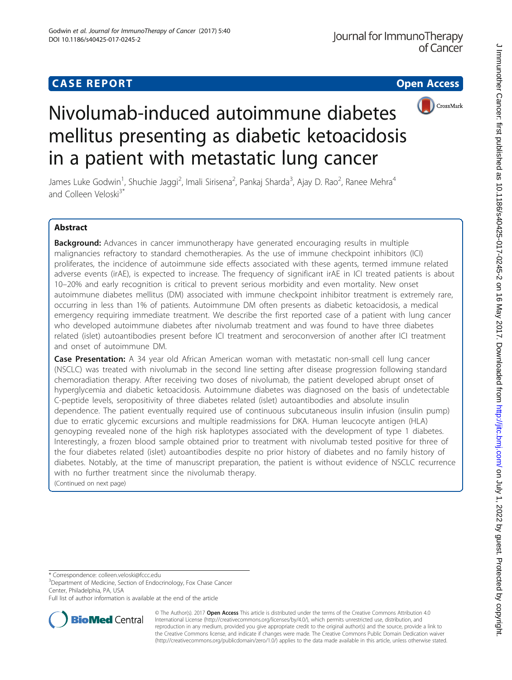# **CASE REPORT CASE ACCESS**

CrossMark



James Luke Godwin<sup>1</sup>, Shuchie Jaggi<sup>2</sup>, Imali Sirisena<sup>2</sup>, Pankaj Sharda<sup>3</sup>, Ajay D. Rao<sup>2</sup>, Ranee Mehra<sup>4</sup> and Colleen Veloski<sup>3\*</sup>

# Abstract

**Background:** Advances in cancer immunotherapy have generated encouraging results in multiple malignancies refractory to standard chemotherapies. As the use of immune checkpoint inhibitors (ICI) proliferates, the incidence of autoimmune side effects associated with these agents, termed immune related adverse events (irAE), is expected to increase. The frequency of significant irAE in ICI treated patients is about 10–20% and early recognition is critical to prevent serious morbidity and even mortality. New onset autoimmune diabetes mellitus (DM) associated with immune checkpoint inhibitor treatment is extremely rare, occurring in less than 1% of patients. Autoimmune DM often presents as diabetic ketoacidosis, a medical emergency requiring immediate treatment. We describe the first reported case of a patient with lung cancer who developed autoimmune diabetes after nivolumab treatment and was found to have three diabetes related (islet) autoantibodies present before ICI treatment and seroconversion of another after ICI treatment and onset of autoimmune DM.

**Case Presentation:** A 34 year old African American woman with metastatic non-small cell lung cancer (NSCLC) was treated with nivolumab in the second line setting after disease progression following standard chemoradiation therapy. After receiving two doses of nivolumab, the patient developed abrupt onset of hyperglycemia and diabetic ketoacidosis. Autoimmune diabetes was diagnosed on the basis of undetectable C-peptide levels, seropositivity of three diabetes related (islet) autoantibodies and absolute insulin dependence. The patient eventually required use of continuous subcutaneous insulin infusion (insulin pump) due to erratic glycemic excursions and multiple readmissions for DKA. Human leucocyte antigen (HLA) genoyping revealed none of the high risk haplotypes associated with the development of type 1 diabetes. Interestingly, a frozen blood sample obtained prior to treatment with nivolumab tested positive for three of the four diabetes related (islet) autoantibodies despite no prior history of diabetes and no family history of diabetes. Notably, at the time of manuscript preparation, the patient is without evidence of NSCLC recurrence with no further treatment since the nivolumab therapy.

(Continued on next page)

\* Correspondence: [colleen.veloski@fccc.edu](mailto:colleen.veloski@fccc.edu) <sup>3</sup>

<sup>3</sup>Department of Medicine, Section of Endocrinology, Fox Chase Cancer Center, Philadelphia, PA, USA

Full list of author information is available at the end of the article



© The Author(s). 2017 **Open Access** This article is distributed under the terms of the Creative Commons Attribution 4.0 International License [\(http://creativecommons.org/licenses/by/4.0/](http://creativecommons.org/licenses/by/4.0/)), which permits unrestricted use, distribution, and reproduction in any medium, provided you give appropriate credit to the original author(s) and the source, provide a link to the Creative Commons license, and indicate if changes were made. The Creative Commons Public Domain Dedication waiver [\(http://creativecommons.org/publicdomain/zero/1.0/](http://creativecommons.org/publicdomain/zero/1.0/)) applies to the data made available in this article, unless otherwise stated.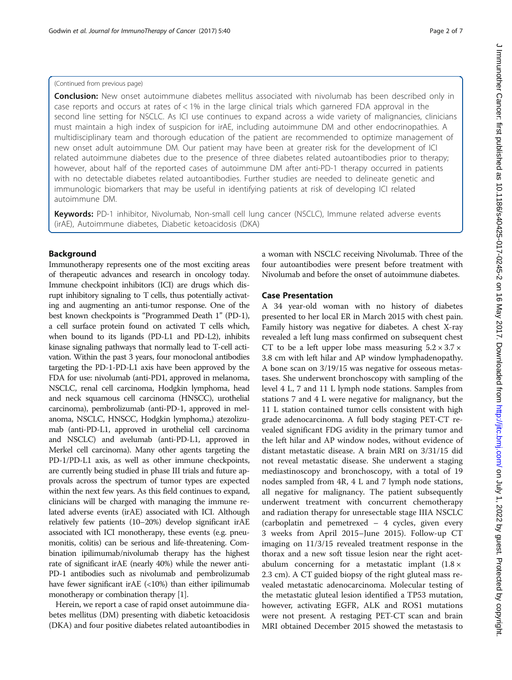# J Immunother Cancer: first published as 10.1186/s40425-017-0245-2 on 16 May 2017. Downloaded from http://jitc.bmj.com/ on July 1, 2022 by guest. Protected by copyright J mmunother Cancer: first published as 10.1186/s40425-017-0245-2 on 16 May 2017. Downloaded from <http://jitc.bmj.com/> on July 1, 2022 by guest. Protected by copyright.

### (Continued from previous page)

**Conclusion:** New onset autoimmune diabetes mellitus associated with nivolumab has been described only in case reports and occurs at rates of < 1% in the large clinical trials which garnered FDA approval in the second line setting for NSCLC. As ICI use continues to expand across a wide variety of malignancies, clinicians must maintain a high index of suspicion for irAE, including autoimmune DM and other endocrinopathies. A multidisciplinary team and thorough education of the patient are recommended to optimize management of new onset adult autoimmune DM. Our patient may have been at greater risk for the development of ICI related autoimmune diabetes due to the presence of three diabetes related autoantibodies prior to therapy; however, about half of the reported cases of autoimmune DM after anti-PD-1 therapy occurred in patients with no detectable diabetes related autoantibodies. Further studies are needed to delineate genetic and immunologic biomarkers that may be useful in identifying patients at risk of developing ICI related autoimmune DM.

Keywords: PD-1 inhibitor, Nivolumab, Non-small cell lung cancer (NSCLC), Immune related adverse events (irAE), Autoimmune diabetes, Diabetic ketoacidosis (DKA)

## Background

Immunotherapy represents one of the most exciting areas of therapeutic advances and research in oncology today. Immune checkpoint inhibitors (ICI) are drugs which disrupt inhibitory signaling to T cells, thus potentially activating and augmenting an anti-tumor response. One of the best known checkpoints is "Programmed Death 1" (PD-1), a cell surface protein found on activated T cells which, when bound to its ligands (PD-L1 and PD-L2), inhibits kinase signaling pathways that normally lead to T-cell activation. Within the past 3 years, four monoclonal antibodies targeting the PD-1-PD-L1 axis have been approved by the FDA for use: nivolumab (anti-PD1, approved in melanoma, NSCLC, renal cell carcinoma, Hodgkin lymphoma, head and neck squamous cell carcinoma (HNSCC), urothelial carcinoma), pembrolizumab (anti-PD-1, approved in melanoma, NSCLC, HNSCC, Hodgkin lymphoma,) atezolizumab (anti-PD-L1, approved in urothelial cell carcinoma and NSCLC) and avelumab (anti-PD-L1, approved in Merkel cell carcinoma). Many other agents targeting the PD-1/PD-L1 axis, as well as other immune checkpoints, are currently being studied in phase III trials and future approvals across the spectrum of tumor types are expected within the next few years. As this field continues to expand, clinicians will be charged with managing the immune related adverse events (irAE) associated with ICI. Although relatively few patients (10–20%) develop significant irAE associated with ICI monotherapy, these events (e.g. pneumonitis, colitis) can be serious and life-threatening. Combination ipilimumab/nivolumab therapy has the highest rate of significant irAE (nearly 40%) while the newer anti-PD-1 antibodies such as nivolumab and pembrolizumab have fewer significant ir $AE$  (<10%) than either ipilimumab monotherapy or combination therapy [[1](#page-5-0)].

Herein, we report a case of rapid onset autoimmune diabetes mellitus (DM) presenting with diabetic ketoacidosis (DKA) and four positive diabetes related autoantibodies in a woman with NSCLC receiving Nivolumab. Three of the four autoantibodies were present before treatment with Nivolumab and before the onset of autoimmune diabetes.

### Case Presentation

A 34 year-old woman with no history of diabetes presented to her local ER in March 2015 with chest pain. Family history was negative for diabetes. A chest X-ray revealed a left lung mass confirmed on subsequent chest CT to be a left upper lobe mass measuring  $5.2 \times 3.7 \times$ 3.8 cm with left hilar and AP window lymphadenopathy. A bone scan on 3/19/15 was negative for osseous metastases. She underwent bronchoscopy with sampling of the level 4 L, 7 and 11 L lymph node stations. Samples from stations 7 and 4 L were negative for malignancy, but the 11 L station contained tumor cells consistent with high grade adenocarcinoma. A full body staging PET-CT revealed significant FDG avidity in the primary tumor and the left hilar and AP window nodes, without evidence of distant metastatic disease. A brain MRI on 3/31/15 did not reveal metastatic disease. She underwent a staging mediastinoscopy and bronchoscopy, with a total of 19 nodes sampled from 4R, 4 L and 7 lymph node stations, all negative for malignancy. The patient subsequently underwent treatment with concurrent chemotherapy and radiation therapy for unresectable stage IIIA NSCLC (carboplatin and pemetrexed – 4 cycles, given every 3 weeks from April 2015–June 2015). Follow-up CT imaging on 11/3/15 revealed treatment response in the thorax and a new soft tissue lesion near the right acetabulum concerning for a metastatic implant  $(1.8 \times$ 2.3 cm). A CT guided biopsy of the right gluteal mass revealed metastatic adenocarcinoma. Molecular testing of the metastatic gluteal lesion identified a TP53 mutation, however, activating EGFR, ALK and ROS1 mutations were not present. A restaging PET-CT scan and brain MRI obtained December 2015 showed the metastasis to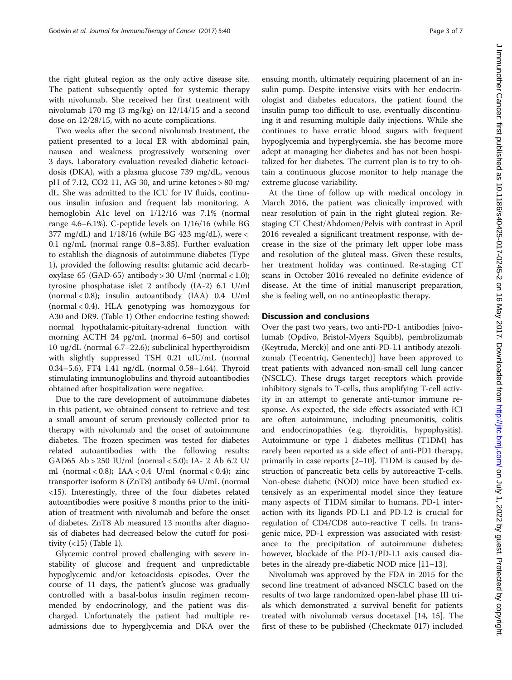the right gluteal region as the only active disease site. The patient subsequently opted for systemic therapy with nivolumab. She received her first treatment with nivolumab 170 mg (3 mg/kg) on 12/14/15 and a second dose on 12/28/15, with no acute complications.

Two weeks after the second nivolumab treatment, the patient presented to a local ER with abdominal pain, nausea and weakness progressively worsening over 3 days. Laboratory evaluation revealed diabetic ketoacidosis (DKA), with a plasma glucose 739 mg/dL, venous pH of 7.12, CO2 11, AG 30, and urine ketones > 80 mg/ dL. She was admitted to the ICU for IV fluids, continuous insulin infusion and frequent lab monitoring. A hemoglobin A1c level on 1/12/16 was 7.1% (normal range 4.6–6.1%). C-peptide levels on 1/16/16 (while BG 377 mg/dL) and 1/18/16 (while BG 423 mg/dL), were < 0.1 ng/mL (normal range 0.8–3.85). Further evaluation to establish the diagnosis of autoimmune diabetes (Type 1), provided the following results: glutamic acid decarboxylase 65 (GAD-65) antibody > 30 U/ml (normal < 1.0); tyrosine phosphatase islet 2 antibody (IA-2) 6.1 U/ml (normal < 0.8); insulin autoantibody (IAA) 0.4 U/ml (normal < 0.4). HLA genotyping was homozygous for A30 and DR9. (Table [1\)](#page-3-0) Other endocrine testing showed: normal hypothalamic-pituitary-adrenal function with morning ACTH 24 pg/mL (normal 6–50) and cortisol 10 ug/dL (normal 6.7–22.6); subclinical hyperthyroidism with slightly suppressed TSH 0.21 uIU/mL (normal 0.34–5.6), FT4 1.41 ng/dL (normal 0.58–1.64). Thyroid stimulating immunoglobulins and thyroid autoantibodies obtained after hospitalization were negative.

Due to the rare development of autoimmune diabetes in this patient, we obtained consent to retrieve and test a small amount of serum previously collected prior to therapy with nivolumab and the onset of autoimmune diabetes. The frozen specimen was tested for diabetes related autoantibodies with the following results: GAD65 Ab > 250 IU/ml (normal < 5.0); IA- 2 Ab 6.2 U/ ml (normal < 0.8); IAA < 0.4 U/ml (normal < 0.4); zinc transporter isoform 8 (ZnT8) antibody 64 U/mL (normal <15). Interestingly, three of the four diabetes related autoantibodies were positive 8 months prior to the initiation of treatment with nivolumab and before the onset of diabetes. ZnT8 Ab measured 13 months after diagnosis of diabetes had decreased below the cutoff for positivity  $(<15)$  (Table [1\)](#page-3-0).

Glycemic control proved challenging with severe instability of glucose and frequent and unpredictable hypoglycemic and/or ketoacidosis episodes. Over the course of 11 days, the patient's glucose was gradually controlled with a basal-bolus insulin regimen recommended by endocrinology, and the patient was discharged. Unfortunately the patient had multiple readmissions due to hyperglycemia and DKA over the ensuing month, ultimately requiring placement of an insulin pump. Despite intensive visits with her endocrinologist and diabetes educators, the patient found the insulin pump too difficult to use, eventually discontinuing it and resuming multiple daily injections. While she continues to have erratic blood sugars with frequent hypoglycemia and hyperglycemia, she has become more adept at managing her diabetes and has not been hospitalized for her diabetes. The current plan is to try to obtain a continuous glucose monitor to help manage the extreme glucose variability.

At the time of follow up with medical oncology in March 2016, the patient was clinically improved with near resolution of pain in the right gluteal region. Restaging CT Chest/Abdomen/Pelvis with contrast in April 2016 revealed a significant treatment response, with decrease in the size of the primary left upper lobe mass and resolution of the gluteal mass. Given these results, her treatment holiday was continued. Re-staging CT scans in October 2016 revealed no definite evidence of disease. At the time of initial manuscript preparation, she is feeling well, on no antineoplastic therapy.

### Discussion and conclusions

Over the past two years, two anti-PD-1 antibodies [nivolumab (Opdivo, Bristol-Myers Squibb), pembrolizumab (Keytruda, Merck)] and one anti-PD-L1 antibody atezolizumab (Tecentriq, Genentech)] have been approved to treat patients with advanced non-small cell lung cancer (NSCLC). These drugs target receptors which provide inhibitory signals to T-cells, thus amplifying T-cell activity in an attempt to generate anti-tumor immune response. As expected, the side effects associated with ICI are often autoimmune, including pneumonitis, colitis and endocrinopathies (e.g. thyroiditis, hypophysitis). Autoimmune or type 1 diabetes mellitus (T1DM) has rarely been reported as a side effect of anti-PD1 therapy, primarily in case reports [\[2](#page-5-0)–[10\]](#page-5-0). T1DM is caused by destruction of pancreatic beta cells by autoreactive T-cells. Non-obese diabetic (NOD) mice have been studied extensively as an experimental model since they feature many aspects of T1DM similar to humans. PD-1 interaction with its ligands PD-L1 and PD-L2 is crucial for regulation of CD4/CD8 auto-reactive T cells. In transgenic mice, PD-1 expression was associated with resistance to the precipitation of autoimmune diabetes; however, blockade of the PD-1/PD-L1 axis caused diabetes in the already pre-diabetic NOD mice [[11](#page-5-0)–[13](#page-6-0)].

Nivolumab was approved by the FDA in 2015 for the second line treatment of advanced NSCLC based on the results of two large randomized open-label phase III trials which demonstrated a survival benefit for patients treated with nivolumab versus docetaxel [[14](#page-6-0), [15](#page-6-0)]. The first of these to be published (Checkmate 017) included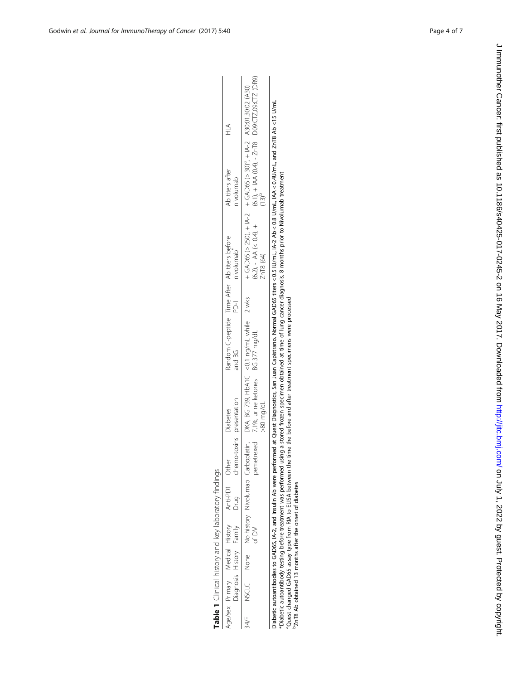|      |                                              |                | <b>Fable 1</b> Clinical history and key laboratory findings |                                                       |                                                                                              |                                                        |        |                                          |                                                                                                                                                                  |  |
|------|----------------------------------------------|----------------|-------------------------------------------------------------|-------------------------------------------------------|----------------------------------------------------------------------------------------------|--------------------------------------------------------|--------|------------------------------------------|------------------------------------------------------------------------------------------------------------------------------------------------------------------|--|
|      | Age/sex Primary Medical History<br>Diagnosis | History Family | Anti-PD1 Other<br>Drug                                      | chemo-toxins presentation                             | <b>Diabetes</b>                                                                              | Random C-peptide Time After Ab titers before<br>and BG | $PD-1$ | nivolumab                                | Ab titers after<br>nivolumab                                                                                                                                     |  |
| 34/F | NSCLC None                                   | of DM          |                                                             | No history Nivolumab Carboplatin,<br>etrexed<br>verne | DKA, BG 739, HbA1C <0.1 ng/mL while 2 wks<br>7.1%, urine ketones BG 377 mg/dL<br>$>80$ mg/dL |                                                        |        | $(6.2)$ , $-$ IAA (< 0.4), +<br>2n18(64) | (6.1) <sub>2</sub> + IAA (0.4), - ZnT8 D09:CTZ,09:CTZ (DR9)<br>$+$ GAD65 (> 250), $+$ IA-2 $+$ GAD65 (> 30) $^9$ , $+$ IA-2 $-$ A30:01,30:02 (A30)<br>$(13)^{6}$ |  |

| of DM                                                    | pemetrexed 7.1%, urine ketones BG 377 mg/dL<br>$>80$ ma/dL                                                                                                                   | $(6.2)$ , - IAA (< 0.4), +<br>2n18(64) | $(6.1)$ , + IAA $(0.4)$ , - ZnT8 D09:CTZ,09:C |
|----------------------------------------------------------|------------------------------------------------------------------------------------------------------------------------------------------------------------------------------|----------------------------------------|-----------------------------------------------|
| )iabetic autoantibodies to GAD65, IA-2, and Insulin Ab \ | were performed at Quest Diagnostics, San Juan Capistrano. Normal GAD65 titers < 0.5 IU/mL, IA-2 Ab < 0.8 U/mL, IAA < 0.4U/mL, and ZnT8 Ab <15 U/mL                           |                                        |                                               |
|                                                          | Diabetic autoantibody testing before treatment was performed using a stored frozen specimen obtained at time of lung cancer diagnosis, 8 months prior to Nivolumab treatment |                                        |                                               |
|                                                          | Quest changed GAD65 assay type from RIA to ELISA between the time the before and after treatment specimens were processed                                                    |                                        |                                               |
| ZnT8 Ab obtained 13 months after the onset of diabetes   |                                                                                                                                                                              |                                        |                                               |

<span id="page-3-0"></span>Godwin et al. Journal for ImmunoTherapy of Cancer (2017) 5:40 example 3:40 Page 4 of 7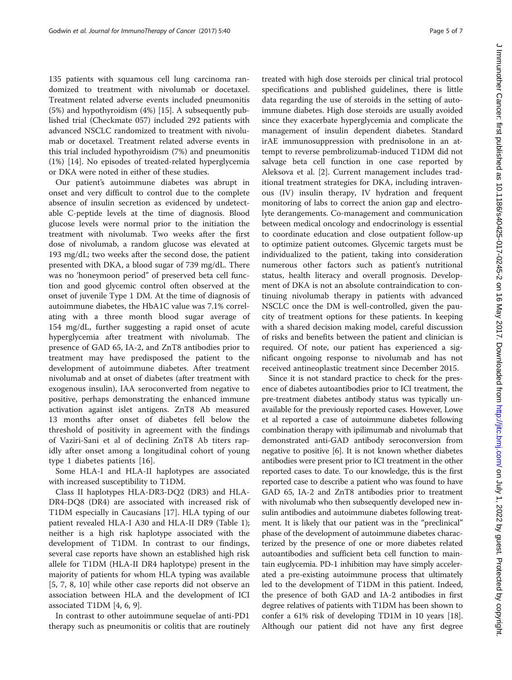135 patients with squamous cell lung carcinoma randomized to treatment with nivolumab or docetaxel. Treatment related adverse events included pneumonitis (5%) and hypothyroidism (4%) [\[15](#page-6-0)]. A subsequently published trial (Checkmate 057) included 292 patients with advanced NSCLC randomized to treatment with nivolumab or docetaxel. Treatment related adverse events in this trial included hypothyroidism (7%) and pneumonitis (1%) [[14\]](#page-6-0). No episodes of treated-related hyperglycemia or DKA were noted in either of these studies.

Our patient's autoimmune diabetes was abrupt in onset and very difficult to control due to the complete absence of insulin secretion as evidenced by undetectable C-peptide levels at the time of diagnosis. Blood glucose levels were normal prior to the initiation the treatment with nivolumab. Two weeks after the first dose of nivolumab, a random glucose was elevated at 193 mg/dL; two weeks after the second dose, the patient presented with DKA, a blood sugar of 739 mg/dL. There was no 'honeymoon period" of preserved beta cell function and good glycemic control often observed at the onset of juvenile Type 1 DM. At the time of diagnosis of autoimmune diabetes, the HbA1C value was 7.1% correlating with a three month blood sugar average of 154 mg/dL, further suggesting a rapid onset of acute hyperglycemia after treatment with nivolumab. The presence of GAD 65, IA-2, and ZnT8 antibodies prior to treatment may have predisposed the patient to the development of autoimmune diabetes. After treatment nivolumab and at onset of diabetes (after treatment with exogenous insulin), IAA seroconverted from negative to positive, perhaps demonstrating the enhanced immune activation against islet antigens. ZnT8 Ab measured 13 months after onset of diabetes fell below the threshold of positivity in agreement with the findings of Vaziri-Sani et al of declining ZnT8 Ab titers rapidly after onset among a longitudinal cohort of young type 1 diabetes patients [[16\]](#page-6-0).

Some HLA-I and HLA-II haplotypes are associated with increased susceptibility to T1DM.

Class II haplotypes HLA-DR3-DQ2 (DR3) and HLA-DR4-DQ8 (DR4) are associated with increased risk of T1DM especially in Caucasians [\[17](#page-6-0)]. HLA typing of our patient revealed HLA-I A30 and HLA-II DR9 (Table [1](#page-3-0)); neither is a high risk haplotype associated with the development of T1DM. In contrast to our findings, several case reports have shown an established high risk allele for T1DM (HLA-II DR4 haplotype) present in the majority of patients for whom HLA typing was available [[5, 7](#page-5-0), [8, 10\]](#page-5-0) while other case reports did not observe an association between HLA and the development of ICI associated T1DM [[4, 6, 9\]](#page-5-0).

In contrast to other autoimmune sequelae of anti-PD1 therapy such as pneumonitis or colitis that are routinely

treated with high dose steroids per clinical trial protocol specifications and published guidelines, there is little data regarding the use of steroids in the setting of autoimmune diabetes. High dose steroids are usually avoided since they exacerbate hyperglycemia and complicate the management of insulin dependent diabetes. Standard irAE immunosuppression with prednisolone in an attempt to reverse pembrolizumab-induced T1DM did not salvage beta cell function in one case reported by Aleksova et al. [\[2](#page-5-0)]. Current management includes traditional treatment strategies for DKA, including intravenous (IV) insulin therapy, IV hydration and frequent monitoring of labs to correct the anion gap and electrolyte derangements. Co-management and communication between medical oncology and endocrinology is essential to coordinate education and close outpatient follow-up to optimize patient outcomes. Glycemic targets must be individualized to the patient, taking into consideration numerous other factors such as patient's nutritional status, health literacy and overall prognosis. Development of DKA is not an absolute contraindication to continuing nivolumab therapy in patients with advanced NSCLC once the DM is well-controlled, given the paucity of treatment options for these patients. In keeping with a shared decision making model, careful discussion of risks and benefits between the patient and clinician is required. Of note, our patient has experienced a significant ongoing response to nivolumab and has not received antineoplastic treatment since December 2015.

Since it is not standard practice to check for the presence of diabetes autoantibodies prior to ICI treatment, the pre-treatment diabetes antibody status was typically unavailable for the previously reported cases. However, Lowe et al reported a case of autoimmune diabetes following combination therapy with ipilimumab and nivolumab that demonstrated anti-GAD antibody seroconversion from negative to positive [[6\]](#page-5-0). It is not known whether diabetes antibodies were present prior to ICI treatment in the other reported cases to date. To our knowledge, this is the first reported case to describe a patient who was found to have GAD 65, IA-2 and ZnT8 antibodies prior to treatment with nivolumab who then subsequently developed new insulin antibodies and autoimmune diabetes following treatment. It is likely that our patient was in the "preclinical" phase of the development of autoimmune diabetes characterized by the presence of one or more diabetes related autoantibodies and sufficient beta cell function to maintain euglycemia. PD-1 inhibition may have simply accelerated a pre-existing autoimmune process that ultimately led to the development of T1DM in this patient. Indeed, the presence of both GAD and IA-2 antibodies in first degree relatives of patients with T1DM has been shown to confer a 61% risk of developing TD1M in 10 years [[18](#page-6-0)]. Although our patient did not have any first degree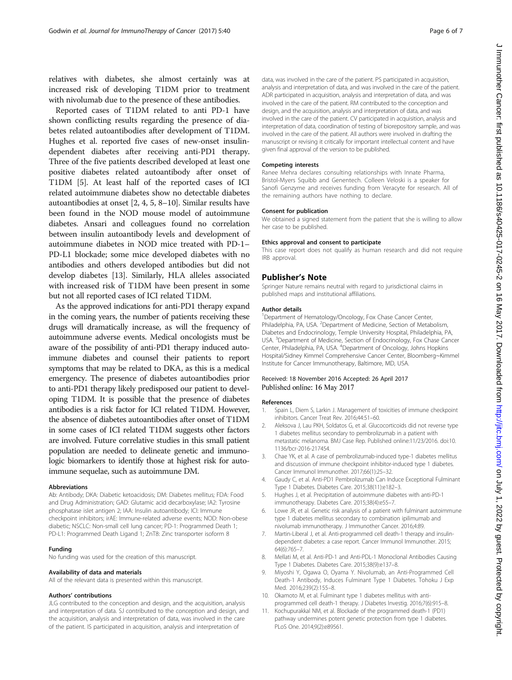<span id="page-5-0"></span>relatives with diabetes, she almost certainly was at increased risk of developing T1DM prior to treatment with nivolumab due to the presence of these antibodies.

Reported cases of T1DM related to anti PD-1 have shown conflicting results regarding the presence of diabetes related autoantibodies after development of T1DM. Hughes et al. reported five cases of new-onset insulindependent diabetes after receiving anti-PD1 therapy. Three of the five patients described developed at least one positive diabetes related autoantibody after onset of T1DM [5]. At least half of the reported cases of ICI related autoimmune diabetes show no detectable diabetes autoantibodies at onset [2, 4, 5, 8–10]. Similar results have been found in the NOD mouse model of autoimmune diabetes. Ansari and colleagues found no correlation between insulin autoantibody levels and development of autoimmune diabetes in NOD mice treated with PD-1– PD-L1 blockade; some mice developed diabetes with no antibodies and others developed antibodies but did not develop diabetes [\[13\]](#page-6-0). Similarly, HLA alleles associated with increased risk of T1DM have been present in some but not all reported cases of ICI related T1DM.

As the approved indications for anti-PD1 therapy expand in the coming years, the number of patients receiving these drugs will dramatically increase, as will the frequency of autoimmune adverse events. Medical oncologists must be aware of the possibility of anti-PD1 therapy induced autoimmune diabetes and counsel their patients to report symptoms that may be related to DKA, as this is a medical emergency. The presence of diabetes autoantibodies prior to anti-PD1 therapy likely predisposed our patient to developing T1DM. It is possible that the presence of diabetes antibodies is a risk factor for ICI related T1DM. However, the absence of diabetes autoantibodies after onset of T1DM in some cases of ICI related T1DM suggests other factors are involved. Future correlative studies in this small patient population are needed to delineate genetic and immunologic biomarkers to identify those at highest risk for autoimmune sequelae, such as autoimmune DM.

### Abbreviations

Ab: Antibody; DKA: Diabetic ketoacidosis; DM: Diabetes mellitus; FDA: Food and Drug Administration; GAD: Glutamic acid decarboxylase; IA2: Tyrosine phosphatase islet antigen 2; IAA: Insulin autoantibody; ICI: Immune checkpoint inhibitors; irAE: Immune-related adverse events; NOD: Non-obese diabetic; NSCLC: Non-small cell lung cancer; PD-1: Programmed Death 1; PD-L1: Programmed Death Ligand 1; ZnT8: Zinc transporter isoform 8

### Funding

No funding was used for the creation of this manuscript.

### Availability of data and materials

All of the relevant data is presented within this manuscript.

### Authors' contributions

JLG contributed to the conception and design, and the acquisition, analysis and interpretation of data. SJ contributed to the conception and design, and the acquisition, analysis and interpretation of data, was involved in the care of the patient. IS participated in acquisition, analysis and interpretation of

data, was involved in the care of the patient. PS participated in acquisition, analysis and interpretation of data, and was involved in the care of the patient. ADR participated in acquisition, analysis and interpretation of data, and was involved in the care of the patient. RM contributed to the conception and design, and the acquisition, analysis and interpretation of data, and was involved in the care of the patient. CV participated in acquisition, analysis and interpretation of data, coordination of testing of biorepository sample, and was involved in the care of the patient. All authors were involved in drafting the manuscript or revising it critically for important intellectual content and have given final approval of the version to be published.

### Competing interests

Ranee Mehra declares consulting relationships with Innate Pharma, Bristol-Myers Squibb and Genentech. Colleen Veloski is a speaker for Sanofi Genzyme and receives funding from Veracyte for research. All of the remaining authors have nothing to declare.

### Consent for publication

We obtained a signed statement from the patient that she is willing to allow her case to be published.

### Ethics approval and consent to participate

This case report does not qualify as human research and did not require IRB approval.

### Publisher's Note

Springer Nature remains neutral with regard to jurisdictional claims in published maps and institutional affiliations.

### Author details

<sup>1</sup>Department of Hematology/Oncology, Fox Chase Cancer Center, Philadelphia, PA, USA. <sup>2</sup> Department of Medicine, Section of Metabolism, Diabetes and Endocrinology, Temple University Hospital, Philadelphia, PA, USA. <sup>3</sup>Department of Medicine, Section of Endocrinology, Fox Chase Cancer Center, Philadelphia, PA, USA. <sup>4</sup>Department of Oncology, Johns Hopkins Hospital/Sidney Kimmel Comprehensive Cancer Center, Bloomberg~Kimmel Institute for Cancer Immunotherapy, Baltimore, MD, USA.

### Received: 18 November 2016 Accepted: 26 April 2017 Published online: 16 May 2017

### References

- 1. Spain L, Diem S, Larkin J. Management of toxicities of immune checkpoint inhibitors. Cancer Treat Rev. 2016;44:51–60.
- 2. Aleksova J, Lau PKH, Soldatos G, et al. Glucocorticoids did not reverse type 1 diabetes mellitus secondary to pembrolizumab in a patient with metastatic melanoma. BMJ Case Rep. Published online:11/23/2016. doi:[10.](http://dx.doi.org/10.1136/bcr-2016-217454) [1136/bcr-2016-217454](http://dx.doi.org/10.1136/bcr-2016-217454).
- 3. Chae YK, et al. A case of pembrolizumab-induced type-1 diabetes mellitus and discussion of immune checkpoint inhibitor-induced type 1 diabetes. Cancer Immunol Immunother. 2017;66(1):25–32.
- 4. Gaudy C, et al. Anti-PD1 Pembrolizumab Can Induce Exceptional Fulminant Type 1 Diabetes. Diabetes Care. 2015;38(11):e182–3.
- 5. Hughes J, et al. Precipitation of autoimmune diabetes with anti-PD-1 immunotherapy. Diabetes Care. 2015;38(4):e55–7.
- Lowe JR, et al. Genetic risk analysis of a patient with fulminant autoimmune type 1 diabetes mellitus secondary to combination ipilimumab and nivolumab immunotherapy. J Immunother Cancer. 2016;4:89.
- 7. Martin-Liberal J, et al. Anti-programmed cell death-1 therapy and insulindependent diabetes: a case report. Cancer Immunol Immunother. 2015; 64(6):765–7.
- 8. Mellati M, et al. Anti-PD-1 and Anti-PDL-1 Monoclonal Antibodies Causing Type 1 Diabetes. Diabetes Care. 2015;38(9):e137–8.
- 9. Miyoshi Y, Ogawa O, Oyama Y. Nivolumab, an Anti-Programmed Cell Death-1 Antibody, Induces Fulminant Type 1 Diabetes. Tohoku J Exp Med. 2016;239(2):155–8.
- 10. Okamoto M, et al. Fulminant type 1 diabetes mellitus with antiprogrammed cell death-1 therapy. J Diabetes Investig. 2016;7(6):915–8.
- 11. Kochupurakkal NM, et al. Blockade of the programmed death-1 (PD1) pathway undermines potent genetic protection from type 1 diabetes. PLoS One. 2014;9(2):e89561.